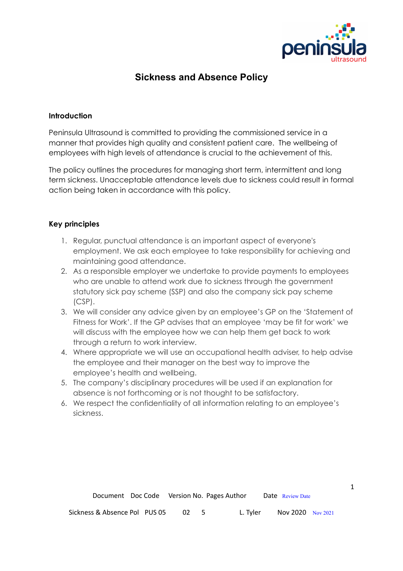

1

# **Sickness and Absence Policy**

#### **Introduction**

Peninsula Ultrasound is committed to providing the commissioned service in a manner that provides high quality and consistent patient care. The wellbeing of employees with high levels of attendance is crucial to the achievement of this.

The policy outlines the procedures for managing short term, intermittent and long term sickness. Unacceptable attendance levels due to sickness could result in formal action being taken in accordance with this policy.

## **Key principles**

- 1. Regular, punctual attendance is an important aspect of everyone's employment. We ask each employee to take responsibility for achieving and maintaining good attendance.
- 2. As a responsible employer we undertake to provide payments to employees who are unable to attend work due to sickness through the government statutory sick pay scheme (SSP) and also the company sick pay scheme (CSP).
- 3. We will consider any advice given by an employee's GP on the 'Statement of Fitness for Work'. If the GP advises that an employee 'may be fit for work' we will discuss with the employee how we can help them get back to work through a return to work interview.
- 4. Where appropriate we will use an occupational health adviser, to help advise the employee and their manager on the best way to improve the employee's health and wellbeing.
- 5. The company's disciplinary procedures will be used if an explanation for absence is not forthcoming or is not thought to be satisfactory.
- 6. We respect the confidentiality of all information relating to an employee's sickness.

| Document Doc Code Version No. Pages Author |      |          | Date Review Date  |  |
|--------------------------------------------|------|----------|-------------------|--|
| Sickness & Absence Pol PUS 05              | - 02 | L. Tyler | Nov 2020 Nov 2021 |  |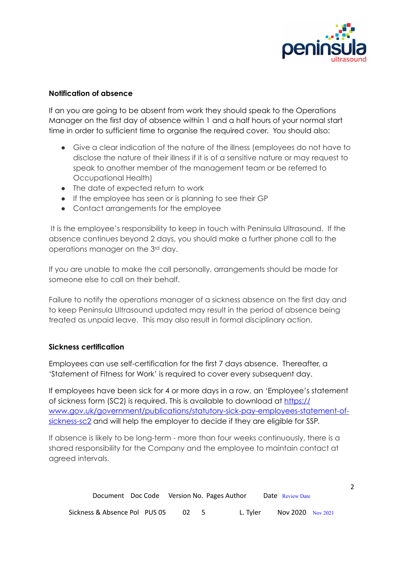

#### **Notification of absence**

If an you are going to be absent from work they should speak to the Operations Manager on the first day of absence within 1 and a half hours of your normal start time in order to sufficient time to organise the required cover. You should also:

- Give a clear indication of the nature of the illness (employees do not have to disclose the nature of their illness if it is of a sensitive nature or may request to speak to another member of the management team or be referred to Occupational Health)
- The date of expected return to work
- If the employee has seen or is planning to see their GP
- Contact arrangements for the employee

 It is the employee's responsibility to keep in touch with Peninsula Ultrasound. If the absence continues beyond 2 days, you should make a further phone call to the operations manager on the 3rd day.

If you are unable to make the call personally, arrangements should be made for someone else to call on their behalf.

Failure to notify the operations manager of a sickness absence on the first day and to keep Peninsula Ultrasound updated may result in the period of absence being treated as unpaid leave. This may also result in formal disciplinary action.

## **Sickness certification**

Employees can use self-certification for the first 7 days absence. Thereafter, a 'Statement of Fitness for Work' is required to cover every subsequent day.

If employees have been sick for 4 or more days in a row, an 'Employee's statement of sickness form (SC2) is required. This is available to download at [https://](https://www.gov.uk/government/publications/statutory-sick-pay-employees-statement-of-sickness-sc2) [www.gov.uk/government/publications/statutory-sick-pay-employees-statement-of](https://www.gov.uk/government/publications/statutory-sick-pay-employees-statement-of-sickness-sc2)[sickness-sc2](https://www.gov.uk/government/publications/statutory-sick-pay-employees-statement-of-sickness-sc2) and will help the employer to decide if they are eligible for SSP.

If absence is likely to be long-term - more than four weeks continuously, there is a shared responsibility for the Company and the employee to maintain contact at agreed intervals.

| Document Doc Code Version No. Pages Author |    |        |          | Date Review Date  |  |
|--------------------------------------------|----|--------|----------|-------------------|--|
| Sickness & Absence Pol PUS 05              | 02 | $\sim$ | L. Tvler | Nov 2020 Nov 2021 |  |

2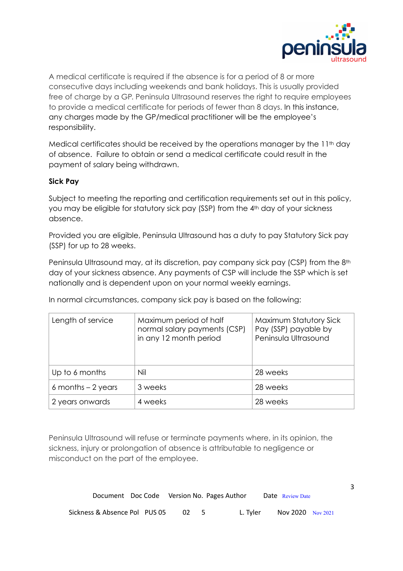

A medical certificate is required if the absence is for a period of 8 or more consecutive days including weekends and bank holidays. This is usually provided free of charge by a GP. Peninsula Ultrasound reserves the right to require employees to provide a medical certificate for periods of fewer than 8 days. In this instance, any charges made by the GP/medical practitioner will be the employee's responsibility.

Medical certificates should be received by the operations manager by the 11<sup>th</sup> day of absence. Failure to obtain or send a medical certificate could result in the payment of salary being withdrawn.

## **Sick Pay**

Subject to meeting the reporting and certification requirements set out in this policy, you may be eligible for statutory sick pay (SSP) from the 4th day of your sickness absence.

Provided you are eligible, Peninsula Ultrasound has a duty to pay Statutory Sick pay (SSP) for up to 28 weeks.

Peninsula Ultrasound may, at its discretion, pay company sick pay (CSP) from the 8<sup>th</sup> day of your sickness absence. Any payments of CSP will include the SSP which is set nationally and is dependent upon on your normal weekly earnings.

In normal circumstances, company sick pay is based on the following:

| Length of service   | Maximum period of half<br>normal salary payments (CSP)<br>in any 12 month period | Maximum Statutory Sick<br>Pay (SSP) payable by<br>Peninsula Ultrasound |
|---------------------|----------------------------------------------------------------------------------|------------------------------------------------------------------------|
| Up to 6 months      | Nil                                                                              | 28 weeks                                                               |
| 6 months $-2$ years | 3 weeks                                                                          | 28 weeks                                                               |
| 2 years onwards     | 4 weeks                                                                          | 28 weeks                                                               |

Peninsula Ultrasound will refuse or terminate payments where, in its opinion, the sickness, injury or prolongation of absence is attributable to negligence or misconduct on the part of the employee.

| Document Doc Code Version No. Pages Author |  |      |          | <b>Date</b> Review Date |  |
|--------------------------------------------|--|------|----------|-------------------------|--|
| Sickness & Absence Pol PUS 05              |  | - 02 | L. Tvler | Nov 2020 Nov 2021       |  |

3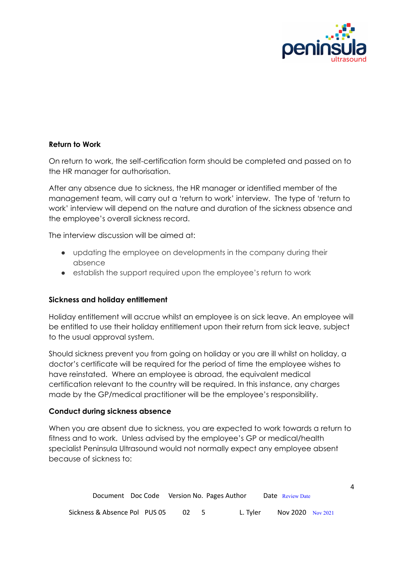

4

## **Return to Work**

On return to work, the self-certification form should be completed and passed on to the HR manager for authorisation.

After any absence due to sickness, the HR manager or identified member of the management team, will carry out a 'return to work' interview. The type of 'return to work' interview will depend on the nature and duration of the sickness absence and the employee's overall sickness record.

The interview discussion will be aimed at:

- updating the employee on developments in the company during their absence
- establish the support required upon the employee's return to work

#### **Sickness and holiday entitlement**

Holiday entitlement will accrue whilst an employee is on sick leave. An employee will be entitled to use their holiday entitlement upon their return from sick leave, subject to the usual approval system.

Should sickness prevent you from going on holiday or you are ill whilst on holiday, a doctor's certificate will be required for the period of time the employee wishes to have reinstated. Where an employee is abroad, the equivalent medical certification relevant to the country will be required. In this instance, any charges made by the GP/medical practitioner will be the employee's responsibility.

#### **Conduct during sickness absence**

When you are absent due to sickness, you are expected to work towards a return to fitness and to work. Unless advised by the employee's GP or medical/health specialist Peninsula Ultrasound would not normally expect any employee absent because of sickness to:

| Document Doc Code Version No. Pages Author |    |          | Date Review Date  |  |
|--------------------------------------------|----|----------|-------------------|--|
| Sickness & Absence Pol PUS 05              | 02 | L. Tyler | Nov 2020 Nov 2021 |  |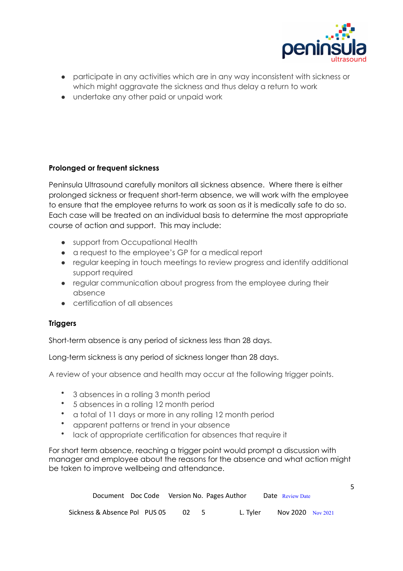

5

- participate in any activities which are in any way inconsistent with sickness or which might aggravate the sickness and thus delay a return to work
- undertake any other paid or unpaid work

## **Prolonged or frequent sickness**

Peninsula Ultrasound carefully monitors all sickness absence. Where there is either prolonged sickness or frequent short-term absence, we will work with the employee to ensure that the employee returns to work as soon as it is medically safe to do so. Each case will be treated on an individual basis to determine the most appropriate course of action and support. This may include:

- support from Occupational Health
- a request to the employee's GP for a medical report
- regular keeping in touch meetings to review progress and identify additional support required
- regular communication about progress from the employee during their absence
- certification of all absences

## **Triggers**

Short-term absence is any period of sickness less than 28 days.

Long-term sickness is any period of sickness longer than 28 days.

A review of your absence and health may occur at the following trigger points.

- 3 absences in a rolling 3 month period
- 5 absences in a rolling 12 month period
- a total of 11 days or more in any rolling 12 month period
- apparent patterns or trend in your absence
- lack of appropriate certification for absences that require it

For short term absence, reaching a trigger point would prompt a discussion with manager and employee about the reasons for the absence and what action might be taken to improve wellbeing and attendance.

| Document Doc Code Version No. Pages Author |     |          | <b>Date</b> Review Date |  |
|--------------------------------------------|-----|----------|-------------------------|--|
| Sickness & Absence Pol PUS 05              | -02 | L. Tvler | Nov 2020 Nov 2021       |  |